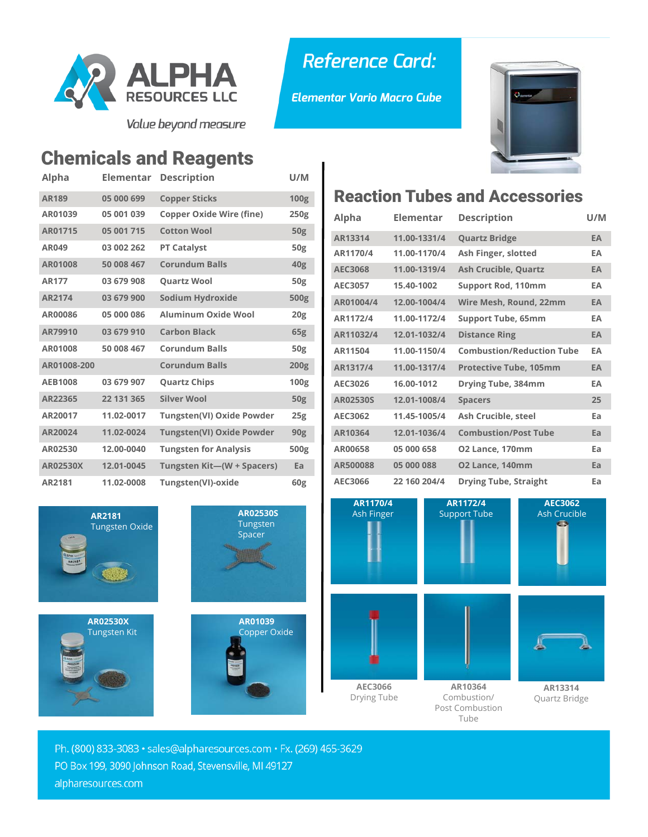

Value beyond measure

## Chemicals and Reagents

| Alpha           | Elementar  | <b>Description</b>               | U/M             |
|-----------------|------------|----------------------------------|-----------------|
| <b>AR189</b>    | 05 000 699 | <b>Copper Sticks</b>             | 100g            |
| AR01039         | 05 001 039 | <b>Copper Oxide Wire (fine)</b>  | 250g            |
| AR01715         | 05 001 715 | <b>Cotton Wool</b>               | 50 <sub>g</sub> |
| <b>AR049</b>    | 03 002 262 | <b>PT Catalyst</b>               | <b>50g</b>      |
| AR01008         | 50 008 467 | <b>Corundum Balls</b>            | 40 <sub>g</sub> |
| <b>AR177</b>    | 03 679 908 | <b>Ouartz Wool</b>               | 50 <sub>g</sub> |
| AR2174          | 03 679 900 | Sodium Hydroxide                 | <b>500g</b>     |
| AR00086         | 05 000 086 | Aluminum Oxide Wool              | 20 <sub>g</sub> |
| AR79910         | 03 679 910 | <b>Carbon Black</b>              | 65 <sub>g</sub> |
| AR01008         | 50 008 467 | <b>Corundum Balls</b>            | 50g             |
| AR01008-200     |            | <b>Corundum Balls</b>            | 200g            |
| <b>AEB1008</b>  | 03 679 907 | <b>Quartz Chips</b>              | 100g            |
| AR22365         | 22 131 365 | <b>Silver Wool</b>               | 50 <sub>g</sub> |
| AR20017         | 11.02-0017 | <b>Tungsten(VI) Oxide Powder</b> | 25g             |
| AR20024         | 11.02-0024 | <b>Tungsten(VI) Oxide Powder</b> | 90 <sub>g</sub> |
| AR02530         | 12.00-0040 | <b>Tungsten for Analysis</b>     | 500g            |
| <b>AR02530X</b> | 12.01-0045 | Tungsten Kit-(W + Spacers)       | Ea              |
| AR2181          | 11.02-0008 | Tungsten(VI)-oxide               | 60g             |



## Reaction Tubes and Accessories

*Elementar Vario Macro Cube* 

**Reference Card:** 

| Alpha           | <b>Elementar</b> | <b>Description</b>               | U/M |
|-----------------|------------------|----------------------------------|-----|
| AR13314         | 11.00-1331/4     | <b>Quartz Bridge</b>             | EA  |
| AR1170/4        | 11.00-1170/4     | Ash Finger, slotted              | EA  |
| AEC3068         | 11.00-1319/4     | <b>Ash Crucible, Quartz</b>      | EA  |
| AEC3057         | 15.40-1002       | <b>Support Rod, 110mm</b>        | EA  |
| AR01004/4       | 12.00-1004/4     | Wire Mesh, Round, 22mm           | EA  |
| AR1172/4        | 11.00-1172/4     | <b>Support Tube, 65mm</b>        | EA  |
| AR11032/4       | 12.01-1032/4     | <b>Distance Ring</b>             | EA  |
| AR11504         | 11.00-1150/4     | <b>Combustion/Reduction Tube</b> | EA  |
| AR1317/4        | 11.00-1317/4     | <b>Protective Tube, 105mm</b>    | EA  |
| AEC3026         | 16.00-1012       | Drying Tube, 384mm               | EA  |
| <b>AR02530S</b> | 12.01-1008/4     | <b>Spacers</b>                   | 25  |
| AEC3062         | 11.45-1005/4     | Ash Crucible, steel              | Ea  |
| AR10364         | 12.01-1036/4     | <b>Combustion/Post Tube</b>      | Ea  |
| AR00658         | 05 000 658       | O2 Lance, 170mm                  | Ea  |
| AR500088        | 05 000 088       | O2 Lance, 140mm                  | Ea  |
| AEC3066         | 22 160 204/4     | <b>Drying Tube, Straight</b>     | Ea  |



Ph. (800) 833-3083 · sales@alpharesources.com · Fx. (269) 465-3629 PO Box 199, 3090 Johnson Road, Stevensville, MI 49127 alpharesources.com